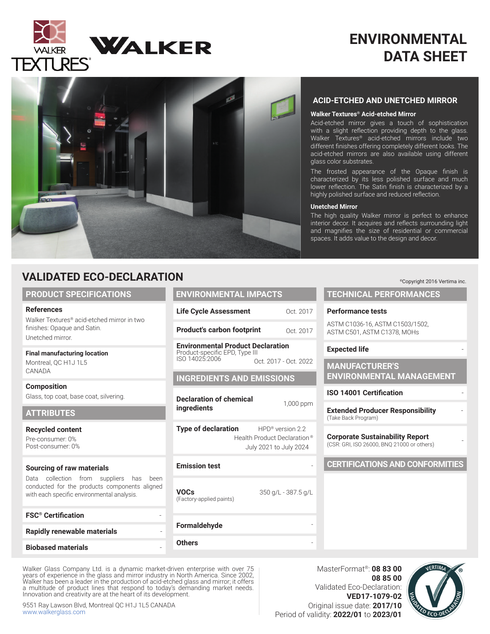

# **ENVIRONMENTAL DATA SHEET**



# **VALIDATED ECO-DECLARATION**

### **PRODUCT SPECIFICATIONS**

### **References**

Walker Textures® acid-etched mirror in two finishes: Opaque and Satin. Unetched mirror.

### **Final manufacturing location**

Montreal, QC H1J 1L5 CANADA

**Composition**  Glass, top coat, base coat, silvering.

# **ATTRIBUTES**

**Recycled content**

Pre-consumer: 0% Post-consumer: 0%

### **Sourcing of raw materials**

Data collection from suppliers has been conducted for the products components aligned with each specific environmental analysis.

| <b>FSC<sup>®</sup></b> Certification |  |
|--------------------------------------|--|
| Rapidly renewable materials          |  |
| <b>Biobased materials</b>            |  |

Walker Glass Company Ltd. is a dynamic market-driven enterprise with over 75 years of experience in the glass and mirror industry in North America. Since 2002, Walker has been a leader in the production of acid-etched glass and mirror; it offers a multitude of product lines that respond to today's demanding market needs. Innovation and creativity are at the heart of its development.

9551 Ray Lawson Blvd, Montreal QC H1J 1L5 CANADA www.walkerglass.com

| N                                                                                            |                                                                                       |
|----------------------------------------------------------------------------------------------|---------------------------------------------------------------------------------------|
| <b>ENVIRONMENTAL IMPACTS</b>                                                                 |                                                                                       |
| <b>Life Cycle Assessment</b>                                                                 | Oct. 2017                                                                             |
| <b>Product's carbon footprint</b>                                                            | Oct. 2017                                                                             |
| <b>Environmental Product Declaration</b><br>Product-specific EPD, Type III<br>ISO 14025:2006 | Oct. 2017 - Oct. 2022                                                                 |
| <b>INGREDIENTS AND EMISSIONS</b>                                                             |                                                                                       |
| <b>Declaration of chemical</b><br><b>ingredients</b>                                         | 1,000 ppm                                                                             |
| <b>Type of declaration</b>                                                                   | HPD <sup>®</sup> version 2.2<br>Health Product Declaration®<br>July 2021 to July 2024 |
| <b>Emission test</b>                                                                         |                                                                                       |
| <b>VOCs</b><br>(Factory-applied paints)                                                      | 350 g/L - 387.5 g/L                                                                   |
| Formaldehyde                                                                                 |                                                                                       |
| Others                                                                                       |                                                                                       |

### **ACID-ETCHED AND UNETCHED MIRROR**

### **Walker Textures® Acid-etched Mirror**

Acid-etched mirror gives a touch of sophistication with a slight reflection providing depth to the glass. Walker Textures<sup>®</sup> acid-etched mirrors include two different finishes offering completely different looks. The acid-etched mirrors are also available using different glass color substrates.

The frosted appearance of the Opaque finish is characterized by its less polished surface and much lower reflection. The Satin finish is characterized by a highly polished surface and reduced reflection.

### **Unetched Mirror**

The high quality Walker mirror is perfect to enhance interior decor. It acquires and reflects surrounding light and magnifies the size of residential or commercial spaces. It adds value to the design and decor.

# **TECHNICAL PERFORMANCES Performance tests** ASTM C1036-16, ASTM C1503/1502, ASTM C501, ASTM C1378, MOHs **Expected life MANUFACTURER'S ENVIRONMENTAL MANAGEMENT ISO 14001 Certification Extended Producer Responsibility** - (Take Back Program) **Corporate Sustainability Report** (CSR: GRI, ISO 26000, BNQ 21000 or others) - **CERTIFICATIONS AND CONFORMITIES**

MasterFormat®: **08 83 00 08 85 00** Validated Eco-Declaration: **VED17-1079-02** Original issue date: **2017/10** Period of validity: **2022/01** to **2023/01**